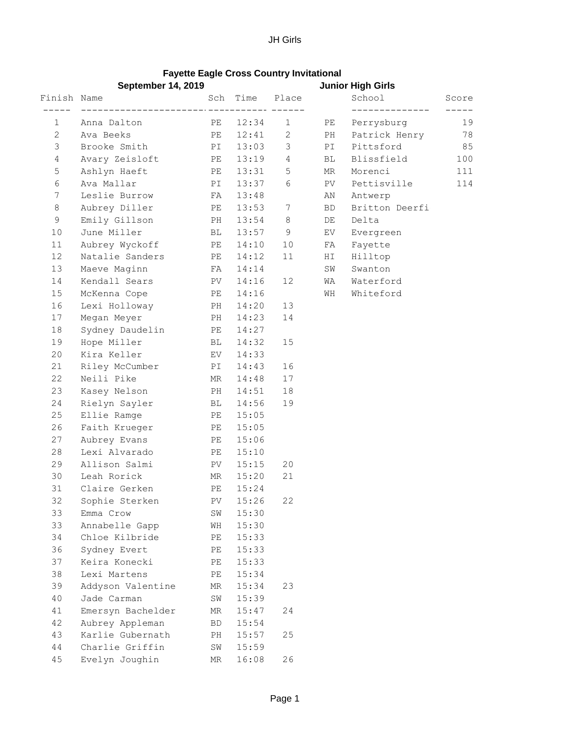## **Fayette Eagle Cross Country Invitational**

|              | <b>September 14, 2019</b>        |          |                |                | <b>Junior High Girls</b> |                |       |
|--------------|----------------------------------|----------|----------------|----------------|--------------------------|----------------|-------|
| Finish Name  |                                  | Sch      | Time           | Place          |                          | School         | Score |
| $\mathbf 1$  | Anna Dalton                      | PE       | $---$<br>12:34 | $\mathbf{1}$   | PE                       | Perrysburg     | 19    |
| $\mathbf{2}$ | Ava Beeks                        | PE       | 12:41          | 2              | PH                       | Patrick Henry  | 78    |
| 3            | Brooke Smith                     | PI       | 13:03          | 3              | PI                       | Pittsford      | 85    |
| 4            | Avary Zeisloft                   | PE       | 13:19          | $\overline{4}$ | BL                       | Blissfield     | 100   |
| 5            | Ashlyn Haeft                     | PE       | 13:31          | 5              | MR                       | Morenci        | 111   |
| $\epsilon$   | Ava Mallar                       | PI       | 13:37          | 6              | PV                       | Pettisville    | 114   |
| 7            | Leslie Burrow                    | FA       | 13:48          |                | ΑN                       | Antwerp        |       |
| 8            | Aubrey Diller                    | PE       | 13:53          | 7              | BD                       | Britton Deerfi |       |
| 9            | Emily Gillson                    | PH       | 13:54          | $\,8\,$        | DE                       | Delta          |       |
| 10           | June Miller                      | ВL       | 13:57          | 9              | EV                       | Evergreen      |       |
| 11           | Aubrey Wyckoff                   | PE       | 14:10          | 10             | FA                       | Fayette        |       |
| 12           | Natalie Sanders                  | PE       | 14:12          | 11             | ΗI                       | Hilltop        |       |
| 13           | Maeve Maginn                     | FA       | 14:14          |                | SW                       | Swanton        |       |
| 14           | Kendall Sears                    | PV       | 14:16          | 12             | WA                       | Waterford      |       |
| 15           | McKenna Cope                     | PE       | 14:16          |                | WH                       | Whiteford      |       |
| 16           | Lexi Holloway                    | PH       | 14:20          | 13             |                          |                |       |
| 17           | Megan Meyer                      | PH       | 14:23          | 14             |                          |                |       |
| 18           | Sydney Daudelin                  | PE       | 14:27          |                |                          |                |       |
| 19           | Hope Miller                      | ВL       | 14:32          | 15             |                          |                |       |
| 20           | Kira Keller                      | EV.      | 14:33          |                |                          |                |       |
| 21           | Riley McCumber                   | PI       | 14:43          | 16             |                          |                |       |
| 22           | Neili Pike                       | ΜR       | 14:48          | 17             |                          |                |       |
| 23           | Kasey Nelson                     | PH       | 14:51          | 18             |                          |                |       |
| 24           | Rielyn Sayler                    | BL       | 14:56          | 19             |                          |                |       |
| 25           | Ellie Ramge                      | PE       | 15:05          |                |                          |                |       |
| 26           | Faith Krueger                    | PE       | 15:05          |                |                          |                |       |
| 27           | Aubrey Evans                     | PE       | 15:06          |                |                          |                |       |
| 28           | Lexi Alvarado                    | PE       | 15:10          |                |                          |                |       |
| 29           | Allison Salmi                    | PV.      | 15:15          | 20             |                          |                |       |
| 30           | Leah Rorick                      | ΜR       | 15:20          | 21             |                          |                |       |
| 31           | Claire Gerken                    | PE       | 15:24          |                |                          |                |       |
| 32           | Sophie Sterken                   |          | PV 15:26       | 22             |                          |                |       |
| 33           | Emma Crow                        | SW       | 15:30          |                |                          |                |       |
| 33           | Annabelle Gapp                   | WH       | 15:30          |                |                          |                |       |
| 34           | Chloe Kilbride                   | PE       | 15:33          |                |                          |                |       |
| 36           | Sydney Evert                     | PE       | 15:33          |                |                          |                |       |
| 37           | Keira Konecki<br>Lexi Martens    | PE       | 15:33          |                |                          |                |       |
| 38<br>39     |                                  | PЕ       | 15:34          |                |                          |                |       |
|              | Addyson Valentine                | ΜR       | 15:34          | 23             |                          |                |       |
| 40<br>41     | Jade Carman<br>Emersyn Bachelder | SW<br>ΜR | 15:39<br>15:47 | 24             |                          |                |       |
| 42           | Aubrey Appleman                  | BD       | 15:54          |                |                          |                |       |
| 43           | Karlie Gubernath                 | PH       | 15:57          | 25             |                          |                |       |
| 44           | Charlie Griffin                  | SW       | 15:59          |                |                          |                |       |
| 45           | Evelyn Joughin                   | ΜR       | 16:08          | 26             |                          |                |       |
|              |                                  |          |                |                |                          |                |       |